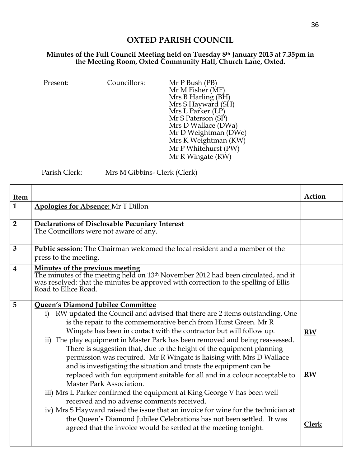## **OXTED PARISH COUNCIL**

## **Minutes of the Full Council Meeting held on Tuesday 8th January 2013 at 7.35pm in the Meeting Room, Oxted Community Hall, Church Lane, Oxted.**

| Councillors:<br>Present: | Mr P Bush (PB)<br>Mr M Fisher (MF)<br>Mrs B Harling (BH)<br>Mrs S Hayward (SH)<br>Mrs L Parker (LP)<br>Mr S Paterson (SP)<br>Mrs D Wallace (DWa)<br>Mr D Weightman (DWe)<br>Mrs K Weightman (KW)<br>Mr P Whitehurst (PW)<br>Mr R Wingate (RW) |
|--------------------------|-----------------------------------------------------------------------------------------------------------------------------------------------------------------------------------------------------------------------------------------------|
|--------------------------|-----------------------------------------------------------------------------------------------------------------------------------------------------------------------------------------------------------------------------------------------|

Parish Clerk: Mrs M Gibbins- Clerk (Clerk)

| Item                    |                                                                                                                                                                                                                                                                                                                                                                                                                                                                                                                                                                                                                                                                                                                                                                                                                                                                                                                                                                                                                                              | Action                                 |
|-------------------------|----------------------------------------------------------------------------------------------------------------------------------------------------------------------------------------------------------------------------------------------------------------------------------------------------------------------------------------------------------------------------------------------------------------------------------------------------------------------------------------------------------------------------------------------------------------------------------------------------------------------------------------------------------------------------------------------------------------------------------------------------------------------------------------------------------------------------------------------------------------------------------------------------------------------------------------------------------------------------------------------------------------------------------------------|----------------------------------------|
| $\mathbf{1}$            | <b>Apologies for Absence: Mr T Dillon</b>                                                                                                                                                                                                                                                                                                                                                                                                                                                                                                                                                                                                                                                                                                                                                                                                                                                                                                                                                                                                    |                                        |
| $\overline{2}$          | Declarations of Disclosable Pecuniary Interest<br>The Councillors were not aware of any.                                                                                                                                                                                                                                                                                                                                                                                                                                                                                                                                                                                                                                                                                                                                                                                                                                                                                                                                                     |                                        |
| $\overline{3}$          | Public session: The Chairman welcomed the local resident and a member of the<br>press to the meeting.                                                                                                                                                                                                                                                                                                                                                                                                                                                                                                                                                                                                                                                                                                                                                                                                                                                                                                                                        |                                        |
| $\overline{\mathbf{4}}$ | Minutes of the previous meeting<br>The minutes of the meeting held on 13 <sup>th</sup> November 2012 had been circulated, and it<br>was resolved: that the minutes be approved with correction to the spelling of Ellis<br>Road to Ellice Road.                                                                                                                                                                                                                                                                                                                                                                                                                                                                                                                                                                                                                                                                                                                                                                                              |                                        |
| 5                       | Queen's Diamond Jubilee Committee<br>RW updated the Council and advised that there are 2 items outstanding. One<br>i)<br>is the repair to the commemorative bench from Hurst Green. Mr R<br>Wingate has been in contact with the contractor but will follow up.<br>ii) The play equipment in Master Park has been removed and being reassessed.<br>There is suggestion that, due to the height of the equipment planning<br>permission was required. Mr R Wingate is liaising with Mrs D Wallace<br>and is investigating the situation and trusts the equipment can be<br>replaced with fun equipment suitable for all and in a colour acceptable to<br>Master Park Association.<br>iii) Mrs L Parker confirmed the equipment at King George V has been well<br>received and no adverse comments received.<br>iv) Mrs S Hayward raised the issue that an invoice for wine for the technician at<br>the Queen's Diamond Jubilee Celebrations has not been settled. It was<br>agreed that the invoice would be settled at the meeting tonight. | <b>RW</b><br><b>RW</b><br><b>Clerk</b> |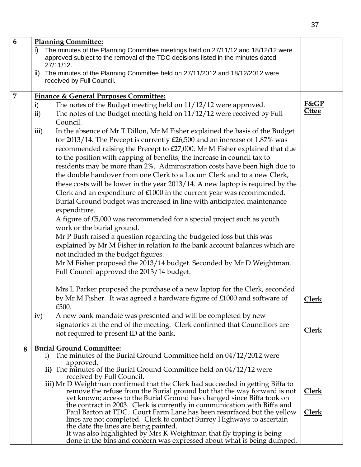| 6              | <b>Planning Committee:</b>                                                                                                                                         |              |  |  |
|----------------|--------------------------------------------------------------------------------------------------------------------------------------------------------------------|--------------|--|--|
|                | The minutes of the Planning Committee meetings held on 27/11/12 and 18/12/12 were<br>i)                                                                            |              |  |  |
|                | approved subject to the removal of the TDC decisions listed in the minutes dated                                                                                   |              |  |  |
|                | 27/11/12.                                                                                                                                                          |              |  |  |
|                | The minutes of the Planning Committee held on 27/11/2012 and 18/12/2012 were<br>ii)                                                                                |              |  |  |
|                | received by Full Council.                                                                                                                                          |              |  |  |
| $\overline{7}$ | <b>Finance &amp; General Purposes Committee:</b>                                                                                                                   |              |  |  |
|                | The notes of the Budget meeting held on 11/12/12 were approved.<br>$\mathbf{i}$                                                                                    | F&GP         |  |  |
|                | The notes of the Budget meeting held on 11/12/12 were received by Full<br>ii)                                                                                      | <b>Cttee</b> |  |  |
|                | Council.                                                                                                                                                           |              |  |  |
|                | In the absence of Mr T Dillon, Mr M Fisher explained the basis of the Budget<br>iii)                                                                               |              |  |  |
|                | for 2013/14. The Precept is currently £26,500 and an increase of 1.87% was                                                                                         |              |  |  |
|                | recommended raising the Precept to £27,000. Mr M Fisher explained that due                                                                                         |              |  |  |
|                | to the position with capping of benefits, the increase in council tax to                                                                                           |              |  |  |
|                | residents may be more than 2%. Administration costs have been high due to                                                                                          |              |  |  |
|                | the double handover from one Clerk to a Locum Clerk and to a new Clerk,                                                                                            |              |  |  |
|                | these costs will be lower in the year 2013/14. A new laptop is required by the                                                                                     |              |  |  |
|                | Clerk and an expenditure of £1000 in the current year was recommended.                                                                                             |              |  |  |
|                | Burial Ground budget was increased in line with anticipated maintenance                                                                                            |              |  |  |
|                | expenditure.                                                                                                                                                       |              |  |  |
|                | A figure of £5,000 was recommended for a special project such as youth                                                                                             |              |  |  |
|                | work or the burial ground.                                                                                                                                         |              |  |  |
|                | Mr P Bush raised a question regarding the budgeted loss but this was                                                                                               |              |  |  |
|                | explained by Mr M Fisher in relation to the bank account balances which are                                                                                        |              |  |  |
|                | not included in the budget figures.                                                                                                                                |              |  |  |
|                | Mr M Fisher proposed the 2013/14 budget. Seconded by Mr D Weightman.                                                                                               |              |  |  |
|                | Full Council approved the 2013/14 budget.                                                                                                                          |              |  |  |
|                |                                                                                                                                                                    |              |  |  |
|                | Mrs L Parker proposed the purchase of a new laptop for the Clerk, seconded                                                                                         |              |  |  |
|                | by Mr M Fisher. It was agreed a hardware figure of £1000 and software of                                                                                           | <b>Clerk</b> |  |  |
|                | £500.                                                                                                                                                              |              |  |  |
|                | A new bank mandate was presented and will be completed by new<br>iv)                                                                                               |              |  |  |
|                | signatories at the end of the meeting. Clerk confirmed that Councillors are                                                                                        |              |  |  |
|                | not required to present ID at the bank.                                                                                                                            | <b>Clerk</b> |  |  |
|                |                                                                                                                                                                    |              |  |  |
| 8              | <b>Burial Ground Committee:</b><br>The minutes of the Burial Ground Committee held on 04/12/2012 were                                                              |              |  |  |
|                | $\mathbf{i}$<br>approved.                                                                                                                                          |              |  |  |
|                | ii) The minutes of the Burial Ground Committee held on $04/12/12$ were                                                                                             |              |  |  |
|                | received by Full Council.                                                                                                                                          |              |  |  |
|                | iii) Mr D Weightman confirmed that the Clerk had succeeded in getting Biffa to                                                                                     |              |  |  |
|                | remove the refuse from the Burial ground but that the way forward is not<br><b>Clerk</b><br>yet known; access to the Burial Ground has changed since Biffa took on |              |  |  |
|                | the contract in 2003. Clerk is currently in communication with Biffa and                                                                                           |              |  |  |
|                | Paul Barton at TDC. Court Farm Lane has been resurfaced but the yellow                                                                                             | <u>Clerk</u> |  |  |
|                | lines are not completed. Clerk to contact Surrey Highways to ascertain                                                                                             |              |  |  |
|                | the date the lines are being painted.<br>It was also highlighted by Mrs K Weightman that fly tipping is being                                                      |              |  |  |
|                | done in the bins and concern was expressed about what is being dumped.                                                                                             |              |  |  |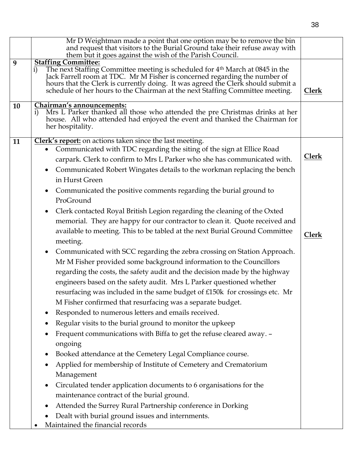|    | Mr D Weightman made a point that one option may be to remove the bin<br>and request that visitors to the Burial Ground take their refuse away with<br>them but it goes against the wish of the Parish Council.                                                                                                                                                                                                                                                                                                                                                                                                                                                                                                                                                                                                                                                                                                                                                                                                                                                                                                                                                                                                                                                                                                                                                                                                                                                                                                                                                                                                         |                              |
|----|------------------------------------------------------------------------------------------------------------------------------------------------------------------------------------------------------------------------------------------------------------------------------------------------------------------------------------------------------------------------------------------------------------------------------------------------------------------------------------------------------------------------------------------------------------------------------------------------------------------------------------------------------------------------------------------------------------------------------------------------------------------------------------------------------------------------------------------------------------------------------------------------------------------------------------------------------------------------------------------------------------------------------------------------------------------------------------------------------------------------------------------------------------------------------------------------------------------------------------------------------------------------------------------------------------------------------------------------------------------------------------------------------------------------------------------------------------------------------------------------------------------------------------------------------------------------------------------------------------------------|------------------------------|
| 9  | <b>Staffing Committee:</b><br>The next Staffing Committee meeting is scheduled for 4 <sup>th</sup> March at 0845 in the<br>$\mathbf{i}$<br>Jack Farrell room at TDC. Mr M Fisher is concerned regarding the number of<br>hours that the Clerk is currently doing. It was agreed the Clerk should submit a<br>schedule of her hours to the Chairman at the next Staffing Committee meeting.                                                                                                                                                                                                                                                                                                                                                                                                                                                                                                                                                                                                                                                                                                                                                                                                                                                                                                                                                                                                                                                                                                                                                                                                                             | Clerk                        |
| 10 | Chairman's announcements:<br>Mrs L Parker thanked all those who attended the pre Christmas drinks at her<br>$\mathbf{i}$<br>house. All who attended had enjoyed the event and thanked the Chairman for<br>her hospitality.                                                                                                                                                                                                                                                                                                                                                                                                                                                                                                                                                                                                                                                                                                                                                                                                                                                                                                                                                                                                                                                                                                                                                                                                                                                                                                                                                                                             |                              |
| 11 | Clerk's report: on actions taken since the last meeting.<br>Communicated with TDC regarding the siting of the sign at Ellice Road<br>carpark. Clerk to confirm to Mrs L Parker who she has communicated with.<br>Communicated Robert Wingates details to the workman replacing the bench<br>$\bullet$<br>in Hurst Green<br>Communicated the positive comments regarding the burial ground to<br>$\bullet$<br>ProGround<br>Clerk contacted Royal British Legion regarding the cleaning of the Oxted<br>memorial. They are happy for our contractor to clean it. Quote received and<br>available to meeting. This to be tabled at the next Burial Ground Committee<br>meeting.<br>Communicated with SCC regarding the zebra crossing on Station Approach.<br>$\bullet$<br>Mr M Fisher provided some background information to the Councillors<br>regarding the costs, the safety audit and the decision made by the highway<br>engineers based on the safety audit. Mrs L Parker questioned whether<br>resurfacing was included in the same budget of £150k for crossings etc. Mr<br>M Fisher confirmed that resurfacing was a separate budget.<br>Responded to numerous letters and emails received.<br>Regular visits to the burial ground to monitor the upkeep<br>Frequent communications with Biffa to get the refuse cleared away. -<br>ongoing<br>Booked attendance at the Cemetery Legal Compliance course.<br>Applied for membership of Institute of Cemetery and Crematorium<br>Management<br>Circulated tender application documents to 6 organisations for the<br>maintenance contract of the burial ground. | <b>Clerk</b><br><b>Clerk</b> |
|    | Attended the Surrey Rural Partnership conference in Dorking<br>Dealt with burial ground issues and internments.<br>Maintained the financial records                                                                                                                                                                                                                                                                                                                                                                                                                                                                                                                                                                                                                                                                                                                                                                                                                                                                                                                                                                                                                                                                                                                                                                                                                                                                                                                                                                                                                                                                    |                              |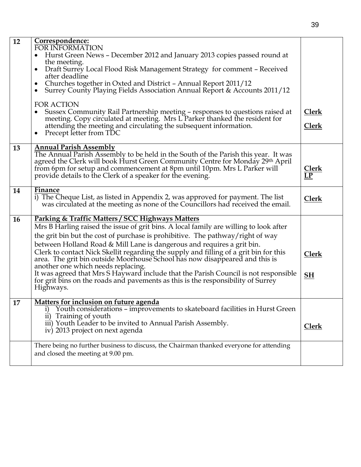| 12 | Correspondence:<br><b>FOR INFORMATION</b><br>Hurst Green News – December 2012 and January 2013 copies passed round at<br>the meeting.                                                                                                                                                                                                                                                                                                                                                                                                                                                                                                                                                          |                                 |
|----|------------------------------------------------------------------------------------------------------------------------------------------------------------------------------------------------------------------------------------------------------------------------------------------------------------------------------------------------------------------------------------------------------------------------------------------------------------------------------------------------------------------------------------------------------------------------------------------------------------------------------------------------------------------------------------------------|---------------------------------|
|    | Draft Surrey Local Flood Risk Management Strategy for comment - Received<br>after deadline<br>Churches together in Oxted and District - Annual Report 2011/12<br>Surrey County Playing Fields Association Annual Report & Accounts 2011/12                                                                                                                                                                                                                                                                                                                                                                                                                                                     |                                 |
|    | <b>FOR ACTION</b><br>Sussex Community Rail Partnership meeting - responses to questions raised at meeting. Copy circulated at meeting. Mrs L Parker thanked the resident for<br>attending the meeting and circulating the subsequent information.<br>Precept letter from TDC                                                                                                                                                                                                                                                                                                                                                                                                                   | <u>Clerk</u><br><b>Clerk</b>    |
| 13 | <b>Annual Parish Assembly</b><br>The Annual Parish Assembly to be held in the South of the Parish this year. It was<br>agreed the Clerk will book Hurst Green Community Centre for Monday 29th April<br>from 6pm for setup and commencement at 8pm until 10pm. Mrs L Parker will<br>provide details to the Clerk of a speaker for the evening.                                                                                                                                                                                                                                                                                                                                                 | <b>Clerk</b><br>$\overline{LP}$ |
| 14 | Finance<br>i) The Cheque List, as listed in Appendix 2, was approved for payment. The list<br>was circulated at the meeting as none of the Councillors had received the email.                                                                                                                                                                                                                                                                                                                                                                                                                                                                                                                 | <b>Clerk</b>                    |
| 16 | Parking & Traffic Matters / SCC Highways Matters<br>Mrs B Harling raised the issue of grit bins. A local family are willing to look after<br>the grit bin but the cost of purchase is prohibitive. The pathway/right of way<br>between Holland Road & Mill Lane is dangerous and requires a grit bin.<br>Clerk to contact Nick Skellit regarding the supply and filling of a grit bin for this<br>area. The grit bin outside Moorhouse School has now disappeared and this is<br>another one which needs replacing.<br>It was agreed that Mrs S Hayward include that the Parish Council is not responsible<br>for grit bins on the roads and pavements as this is the responsibility of Surrey | <b>Clerk</b><br>SH              |
| 17 | Highways.<br>Matters for inclusion on future agenda                                                                                                                                                                                                                                                                                                                                                                                                                                                                                                                                                                                                                                            |                                 |
|    | Youth considerations - improvements to skateboard facilities in Hurst Green<br>$\bf{1)}$<br>ii) Training of youth<br>iii) Youth Leader to be invited to Annual Parish Assembly.<br>iv) 2013 project on next agenda                                                                                                                                                                                                                                                                                                                                                                                                                                                                             | <b>Clerk</b>                    |
|    | There being no further business to discuss, the Chairman thanked everyone for attending<br>and closed the meeting at 9.00 pm.                                                                                                                                                                                                                                                                                                                                                                                                                                                                                                                                                                  |                                 |